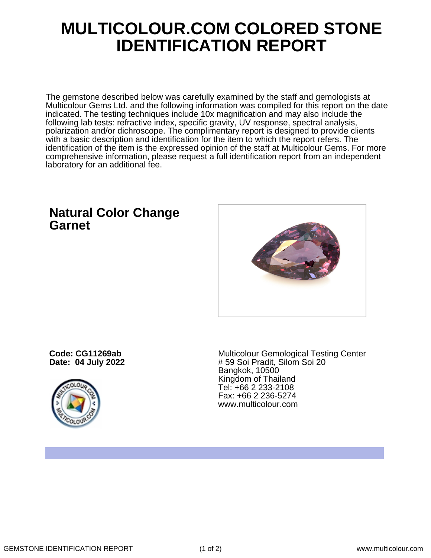## **MULTICOLOUR.COM COLORED STONE IDENTIFICATION REPORT**

The gemstone described below was carefully examined by the staff and gemologists at Multicolour Gems Ltd. and the following information was compiled for this report on the date indicated. The testing techniques include 10x magnification and may also include the following lab tests: refractive index, specific gravity, UV response, spectral analysis, polarization and/or dichroscope. The complimentary report is designed to provide clients with a basic description and identification for the item to which the report refers. The identification of the item is the expressed opinion of the staff at Multicolour Gems. For more comprehensive information, please request a full identification report from an independent laboratory for an additional fee.

## **Natural Color Change Garnet**



**Code: CG11269ab Date: 04 July 2022**



Multicolour Gemological Testing Center # 59 Soi Pradit, Silom Soi 20 Bangkok, 10500 Kingdom of Thailand Tel: +66 2 233-2108 Fax: +66 2 236-5274 www.multicolour.com